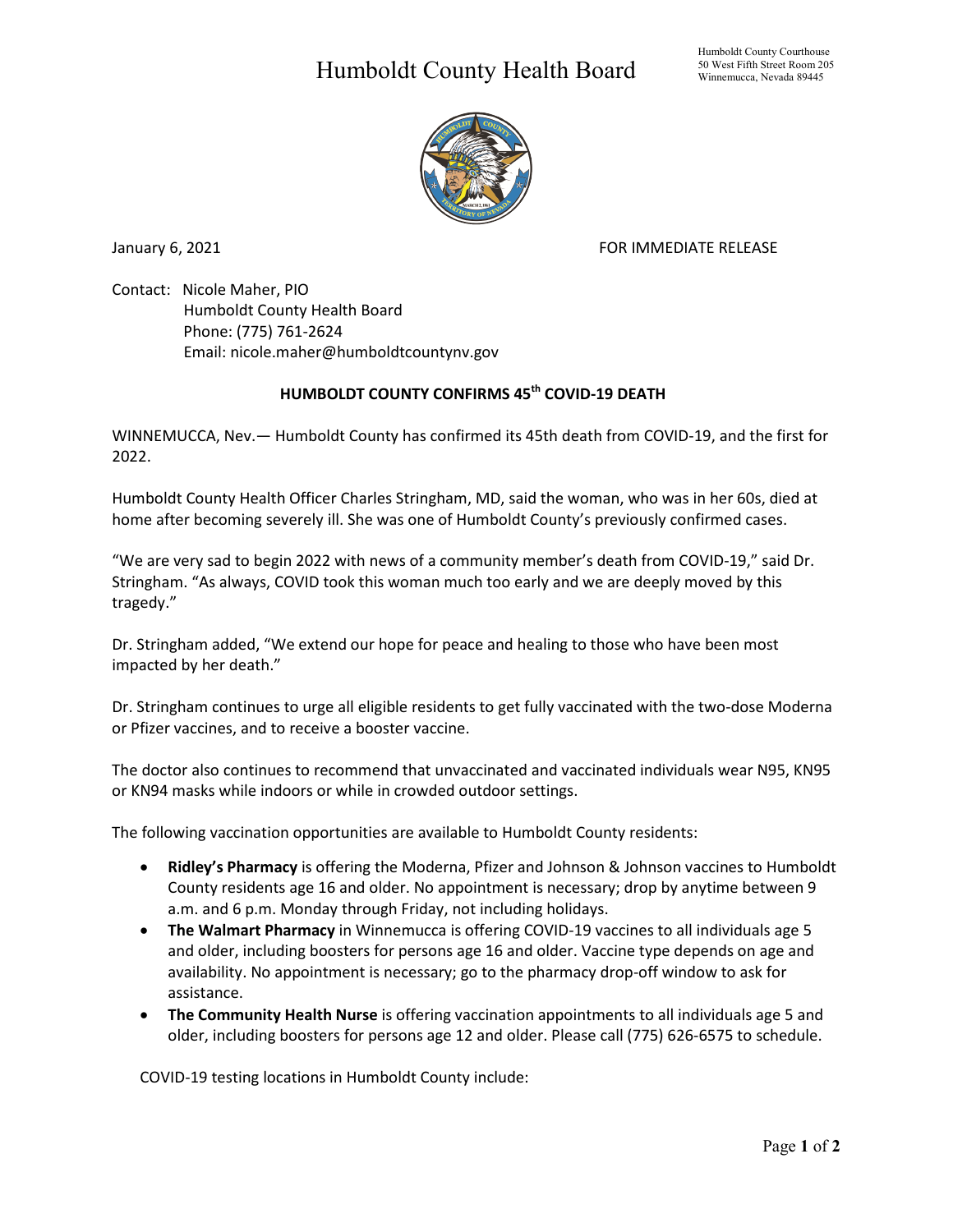## Humboldt County Health Board



January 6, 2021 **FOR IMMEDIATE RELEASE** 

Contact: Nicole Maher, PIO Humboldt County Health Board Phone: (775) 761-2624 Email: nicole.maher@humboldtcountynv.gov

## **HUMBOLDT COUNTY CONFIRMS 45th COVID-19 DEATH**

WINNEMUCCA, Nev.— Humboldt County has confirmed its 45th death from COVID-19, and the first for 2022.

Humboldt County Health Officer Charles Stringham, MD, said the woman, who was in her 60s, died at home after becoming severely ill. She was one of Humboldt County's previously confirmed cases.

"We are very sad to begin 2022 with news of a community member's death from COVID-19," said Dr. Stringham. "As always, COVID took this woman much too early and we are deeply moved by this tragedy."

Dr. Stringham added, "We extend our hope for peace and healing to those who have been most impacted by her death."

Dr. Stringham continues to urge all eligible residents to get fully vaccinated with the two-dose Moderna or Pfizer vaccines, and to receive a booster vaccine.

The doctor also continues to recommend that unvaccinated and vaccinated individuals wear N95, KN95 or KN94 masks while indoors or while in crowded outdoor settings.

The following vaccination opportunities are available to Humboldt County residents:

- **Ridley's Pharmacy** is offering the Moderna, Pfizer and Johnson & Johnson vaccines to Humboldt County residents age 16 and older. No appointment is necessary; drop by anytime between 9 a.m. and 6 p.m. Monday through Friday, not including holidays.
- **The Walmart Pharmacy** in Winnemucca is offering COVID-19 vaccines to all individuals age 5 and older, including boosters for persons age 16 and older. Vaccine type depends on age and availability. No appointment is necessary; go to the pharmacy drop-off window to ask for assistance.
- **The Community Health Nurse** is offering vaccination appointments to all individuals age 5 and older, including boosters for persons age 12 and older. Please call (775) 626-6575 to schedule.

COVID-19 testing locations in Humboldt County include: